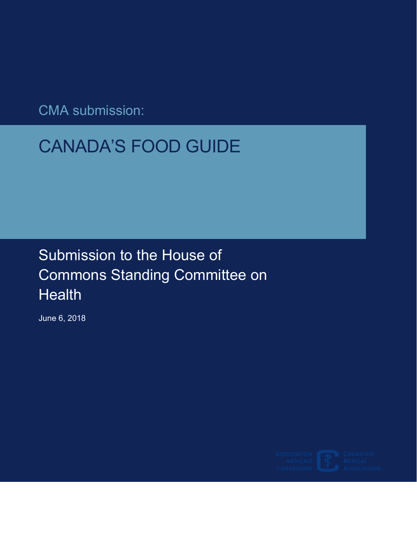CMA submission:

# CANADA'S FOOD GUIDE

## Submission to the House of Commons Standing Committee on **Health**

June 6, 2018

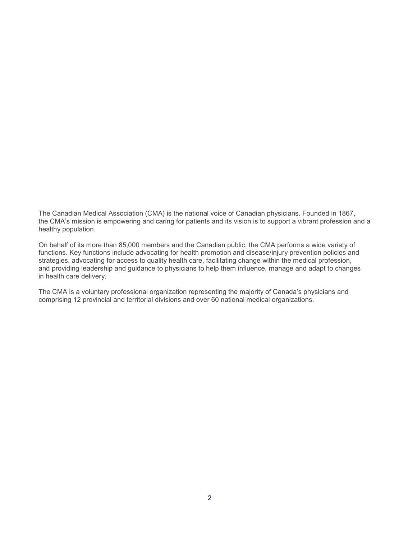The Canadian Medical Association (CMA) is the national voice of Canadian physicians. Founded in 1867, the CMA's mission is empowering and caring for patients and its vision is to support a vibrant profession and a healthy population.

 On behalf of its more than 85,000 members and the Canadian public, the CMA performs a wide variety of functions. Key functions include advocating for health promotion and disease/injury prevention policies and strategies, advocating for access to quality health care, facilitating change within the medical profession, and providing leadership and guidance to physicians to help them influence, manage and adapt to changes in health care delivery.

The CMA is a voluntary professional organization representing the majority of Canada's physicians and comprising 12 provincial and territorial divisions and over 60 national medical organizations.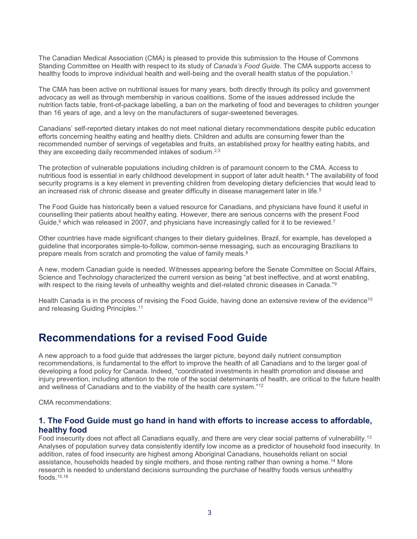Standing Committee on Health with respect to its study of *Canada's Food Guide*. The CMA supports access to The Canadian Medical Association (CMA) is pleased to provide this submission to the House of Commons healthy foods to improve individual health and well-being and the overall health status of the population. [1](#page-5-0) 

 advocacy as well as through membership in various coalitions. Some of the issues addressed include the than 16 years of age, and a levy on the manufacturers of sugar-sweetened beverages. The CMA has been active on nutritional issues for many years, both directly through its policy and government nutrition facts table, front-of-package labelling, a ban on the marketing of food and beverages to children younger

 efforts concerning healthy eating and healthy diets. Children and adults are consuming fewer than the Canadians' self-reported dietary intakes do not meet national dietary recommendations despite public education recommended number of servings of vegetables and fruits, an established proxy for healthy eating habits, and they are exceeding daily recommended intakes of sodium.<sup>[2](#page-5-1),3</sup>

an increased risk of chronic disease and greater difficulty in disease management later in life. $^{\rm 5}$ The protection of vulnerable populations including children is of paramount concern to the CMA. Access to nutritious food is essential in early childhood development in support of later adult health[.4](#page-5-3) The availability of food security programs is a key element in preventing children from developing dietary deficiencies that would lead to

The Food Guide has historically been a valued resource for Canadians, and physicians have found it useful in counselling their patients about healthy eating. However, there are serious concerns with the present Food Guide,<sup>6</sup> which was released in 2007, and physicians have increasingly called for it to be reviewed.<sup>7</sup>

prepare meals from scratch and promoting the value of family meals.<sup>8</sup> Other countries have made significant changes to their dietary guidelines. Brazil, for example, has developed a guideline that incorporates simple-to-follow, common-sense messaging, such as encouraging Brazilians to

A new, modern Canadian guide is needed. Witnesses appearing before the Senate Committee on Social Affairs, Science and Technology characterized the current version as being "at best ineffective, and at worst enabling, with respect to the rising levels of unhealthy weights and diet-related chronic diseases in Canada."<sup>9</sup>

Health Canada is in the process of revising the Food Guide, having done an extensive review of the evidence<sup>10</sup> and releasing Guiding Principles.<sup>11</sup>

### **Recommendations for a revised Food Guide**

A new approach to a food guide that addresses the larger picture, beyond daily nutrient consumption recommendations, is fundamental to the effort to improve the health of all Canadians and to the larger goal of developing a food policy for Canada. Indeed, "coordinated investments in health promotion and disease and injury prevention, including attention to the role of the social determinants of health, are critical to the future health and wellness of Canadians and to the viability of the health care system.["12](#page-6-0) 

CMA recommendations:

#### **1. The Food Guide must go hand in hand with efforts to increase access to affordable, healthy food**

Food insecurity does not affect all Canadians equally, and there are very clear social patterns of vulnerability[.13](#page-6-1)  Analyses of population survey data consistently identify low income as a predictor of household food insecurity. In addition, rates of food insecurity are highest among Aboriginal Canadians, households reliant on social assistance, households headed by single mothers, and those renting rather than owning a home.[14](#page-6-2) More research is needed to understand decisions surrounding the purchase of healthy foods versus unhealthy foods $15,16$  $15,16$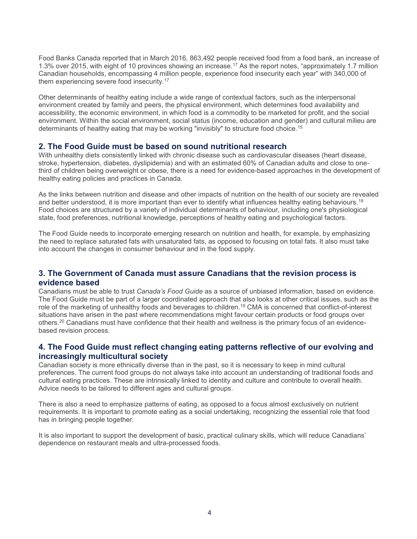Food Banks Canada reported that in March 2016, 863,492 people received food from a food bank, an increase of 1.3% over 2015, with eight of 10 provinces showing an increase.<sup>17</sup> As the report notes, "approximately 1.7 million Canadian households, encompassing 4 million people, experience food insecurity each year" with 340,000 of them experiencing severe food insecurity.<sup>17</sup>

Other determinants of healthy eating include a wide range of contextual factors, such as the interpersonal environment created by family and peers, the physical environment, which determines food availability and accessibility, the economic environment, in which food is a commodity to be marketed for profit, and the social environment. Within the social environment, social status (income, education and gender) and cultural milieu are determinants of healthy eating that may be working "invisibly" to structure food choice. [15](#page-6-3) 

#### **2. The Food Guide must be based on sound nutritional research**

With unhealthy diets consistently linked with chronic disease such as cardiovascular diseases (heart disease, stroke, hypertension, diabetes, dyslipidemia) and with an estimated 60% of Canadian adults and close to onethird of children being overweight or obese, there is a need for evidence-based approaches in the development of healthy eating policies and practices in Canada.

As the links between nutrition and disease and other impacts of nutrition on the health of our society are revealed and better understood, it is more important than ever to identify what influences healthy eating behaviours.<sup>18</sup> Food choices are structured by a variety of individual determinants of behaviour, including one's physiological state, food preferences, nutritional knowledge, perceptions of healthy eating and psychological factors.

 The Food Guide needs to incorporate emerging research on nutrition and health, for example, by emphasizing the need to replace saturated fats with unsaturated fats, as opposed to focusing on total fats. It also must take into account the changes in consumer behaviour and in the food supply.

#### **3. The Government of Canada must assure Canadians that the revision process is evidence based**

Canadians must be able to trust *Canada's Food Guide* as a source of unbiased information, based on evidence. The Food Guide must be part of a larger coordinated approach that also looks at other critical issues, such as the role of the marketing of unhealthy foods and beverages to children[.19 C](#page-6-7)MA is concerned that conflict-of-interest situations have arisen in the past where recommendations might favour certain products or food groups over others[.20](#page-6-8) Canadians must have confidence that their health and wellness is the primary focus of an evidencebased revision process.

#### **4. The Food Guide must reflect changing eating patterns reflective of our evolving and increasingly multicultural society**

Canadian society is more ethnically diverse than in the past, so it is necessary to keep in mind cultural preferences. The current food groups do not always take into account an understanding of traditional foods and cultural eating practices. These are intrinsically linked to identity and culture and contribute to overall health. Advice needs to be tailored to different ages and cultural groups.

 requirements. It is important to promote eating as a social undertaking, recognizing the essential role that food There is also a need to emphasize patterns of eating, as opposed to a focus almost exclusively on nutrient has in bringing people together.

It is also important to support the development of basic, practical culinary skills, which will reduce Canadians' dependence on restaurant meals and ultra-processed foods.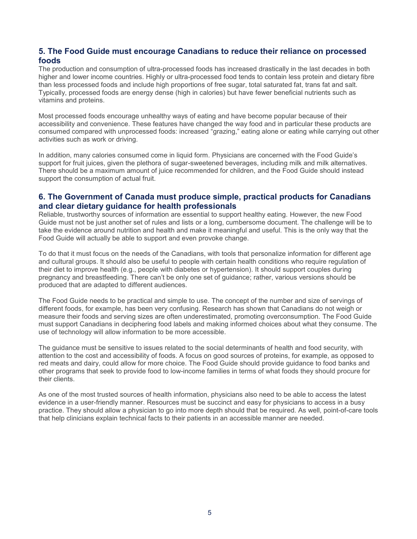#### **5. The Food Guide must encourage Canadians to reduce their reliance on processed foods**

 The production and consumption of ultra-processed foods has increased drastically in the last decades in both Typically, processed foods are energy dense (high in calories) but have fewer beneficial nutrients such as higher and lower income countries. Highly or ultra-processed food tends to contain less protein and dietary fibre than less processed foods and include high proportions of free sugar, total saturated fat, trans fat and salt. vitamins and proteins.

 consumed compared with unprocessed foods: increased "grazing," eating alone or eating while carrying out other Most processed foods encourage unhealthy ways of eating and have become popular because of their accessibility and convenience. These features have changed the way food and in particular these products are activities such as work or driving.

In addition, many calories consumed come in liquid form. Physicians are concerned with the Food Guide's support for fruit juices, given the plethora of sugar-sweetened beverages, including milk and milk alternatives. There should be a maximum amount of juice recommended for children, and the Food Guide should instead support the consumption of actual fruit.

#### **6. The Government of Canada must produce simple, practical products for Canadians and clear dietary guidance for health professionals**

 Guide must not be just another set of rules and lists or a long, cumbersome document. The challenge will be to take the evidence around nutrition and health and make it meaningful and useful. This is the only way that the Food Guide will actually be able to support and even provoke change. Reliable, trustworthy sources of information are essential to support healthy eating. However, the new Food

 and cultural groups. It should also be useful to people with certain health conditions who require regulation of their diet to improve health (e.g., people with diabetes or hypertension). It should support couples during To do that it must focus on the needs of the Canadians, with tools that personalize information for different age pregnancy and breastfeeding. There can't be only one set of guidance; rather, various versions should be produced that are adapted to different audiences.

 The Food Guide needs to be practical and simple to use. The concept of the number and size of servings of different foods, for example, has been very confusing. Research has shown that Canadians do not weigh or use of technology will allow information to be more accessible. measure their foods and serving sizes are often underestimated, promoting overconsumption. The Food Guide must support Canadians in deciphering food labels and making informed choices about what they consume. The

The guidance must be sensitive to issues related to the social determinants of health and food security, with attention to the cost and accessibility of foods. A focus on good sources of proteins, for example, as opposed to red meats and dairy, could allow for more choice. The Food Guide should provide guidance to food banks and other programs that seek to provide food to low-income families in terms of what foods they should procure for their clients.

As one of the most trusted sources of health information, physicians also need to be able to access the latest evidence in a user-friendly manner. Resources must be succinct and easy for physicians to access in a busy practice. They should allow a physician to go into more depth should that be required. As well, point-of-care tools that help clinicians explain technical facts to their patients in an accessible manner are needed.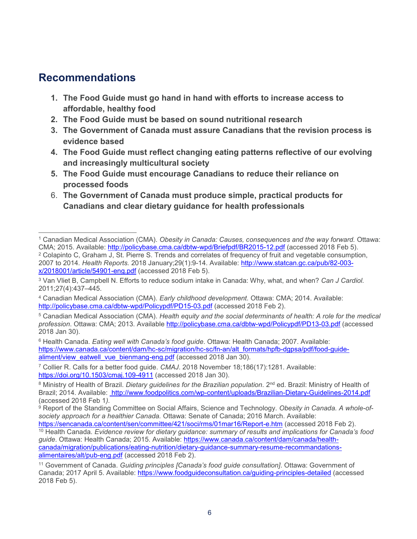## **Recommendations**

- **1. The Food Guide must go hand in hand with efforts to increase access to affordable, healthy food**
- **2. The Food Guide must be based on sound nutritional research**
- **3. The Government of Canada must assure Canadians that the revision process is evidence based**
- **4. The Food Guide must reflect changing eating patterns reflective of our evolving and increasingly multicultural society**
- **5. The Food Guide must encourage Canadians to reduce their reliance on processed foods**
- **Canadians and clear dietary guidance for health professionals**  6. **The Government of Canada must produce simple, practical products for**

<span id="page-5-1"></span><span id="page-5-0"></span> $\overline{a}$ <sup>1</sup> Canadian Medical Association (CMA). *Obesity in Canada: Causes, consequences and the way forward.* Ottawa:<br>CMA; 2015. Available: http://policybase.cma.ca/dbtw-wpd/Briefpdf/BR2015-12.pdf (accessed 2018 Feb 5). <sup>2</sup> Colapinto C, Graham J, St. Pierre S. Trends and correlates of frequency of fruit and vegetable consumption, 2007 to 2014*. Health Reports.* 2018 January;29(1):9-14. Available: [http://www.statcan.gc.ca/pub/82-003](http://www.statcan.gc.ca/pub/82-003-x/2018001/article/54901-eng.pdf) [x/2018001/article/54901-eng.pdf](http://www.statcan.gc.ca/pub/82-003-x/2018001/article/54901-eng.pdf) (accessed 2018 Feb 5).

<span id="page-5-2"></span><sup>3</sup> Van Vliet B, Campbell N. Efforts to reduce sodium intake in Canada: Why, what, and when? *Can J Cardiol.*  2011;27(4):437–445.

<span id="page-5-3"></span><sup>4</sup> Canadian Medical Association (CMA). *Early childhood development.* Ottawa: CMA; 2014. Available: <http://policybase.cma.ca/dbtw-wpd/Policypdf/PD15-03.pdf>(accessed 2018 Feb 2).

<span id="page-5-4"></span><sup>5</sup> Canadian Medical Association (CMA). *Health equity and the social determinants of health: A role for the medical profession*. Ottawa: CMA; 2013. Available <http://policybase.cma.ca/dbtw-wpd/Policypdf/PD13-03.pdf>(accessed 2018 Jan 30).

<span id="page-5-5"></span><sup>6</sup> Health Canada. *Eating well with Canada's food guide*. Ottawa: Health Canada; 2007. Available: [https://www.canada.ca/content/dam/hc-sc/migration/hc-sc/fn-an/alt\\_formats/hpfb-dgpsa/pdf/food-guide](https://www.canada.ca/content/dam/hc-sc/migration/hc-sc/fn-an/alt_formats/hpfb-dgpsa/pdf/food-guide-aliment/view_eatwell_vue_bienmang-eng.pdf)[aliment/view\\_eatwell\\_vue\\_bienmang-eng.pdf](https://www.canada.ca/content/dam/hc-sc/migration/hc-sc/fn-an/alt_formats/hpfb-dgpsa/pdf/food-guide-aliment/view_eatwell_vue_bienmang-eng.pdf) (accessed 2018 Jan 30).

<sup>7</sup> Collier R. Calls for a better food guide. *CMAJ*. 2018 November 18;186(17):1281. Available: <https://doi.org/10.1503/cmaj.109-4911>(accessed 2018 Jan 30).

<sup>&</sup>lt;sup>8</sup> Ministry of Health of Brazil. *Dietary guidelines for the Brazilian population.* 2<sup>nd</sup> ed. Brazil: Ministry of Health of Brazil; 2014. Available: http://www.foodpolitics.com/wp-content/uploads/Brazilian-Dietary-Guidelines-2014.pdf (accessed 2018 Feb 1*).* 

<sup>9</sup> Report of the Standing Committee on Social Affairs, Science and Technology. *Obesity in Canada. A whole-ofsociety approach for a healthier Canada.* Ottawa: Senate of Canada; 2016 March. Available:

<sup>&</sup>lt;sup>10</sup> Health Canada. Evidence review for dietary guidance: summary of results and implications for Canada's food *guide*. Ottawa: Health Canada; 2015. Available: [https://www.canada.ca/content/dam/canada/health](https://www.canada.ca/content/dam/canada/health-canada/migration/publications/eating-nutrition/dietary-guidance-summary-resume-recommandations-alimentaires/alt/pub-eng.pdf)[canada/migration/publications/eating-nutrition/dietary-guidance-summary-resume-recommandations](https://www.canada.ca/content/dam/canada/health-canada/migration/publications/eating-nutrition/dietary-guidance-summary-resume-recommandations-alimentaires/alt/pub-eng.pdf)[alimentaires/alt/pub-eng.pdf](https://www.canada.ca/content/dam/canada/health-canada/migration/publications/eating-nutrition/dietary-guidance-summary-resume-recommandations-alimentaires/alt/pub-eng.pdf) (accessed 2018 Feb 2).

<sup>11</sup> Government of Canada. *Guiding principles [Canada's food guide consultation]*. Ottawa: Government of Canada; 2017 April 5. Available: <https://www.foodguideconsultation.ca/guiding-principles-detailed>(accessed 2018 Feb 5).